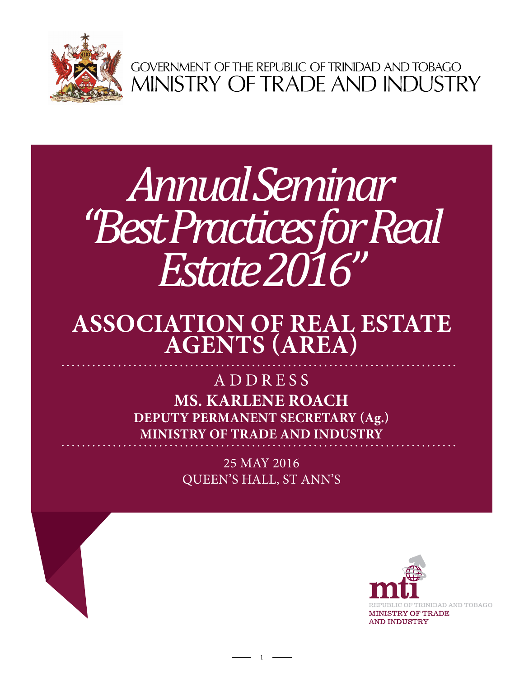

GOVERNMENT OF THE REPUBLIC OF TRINIDAD AND TOBAGO<br>MINISTRY OF TRADE AND INDUSTRY

# *Annual Seminar "Best Practices for Real Estate 2016"*

## **Association of Real Estate Agents (AREA)**

### **Ms. Karlene Roach Deputy Permanent Secretary (Ag.) Ministry of Trade and Industry** ADDRESS

25 May 2016 Queen's Hall, St Ann's

1

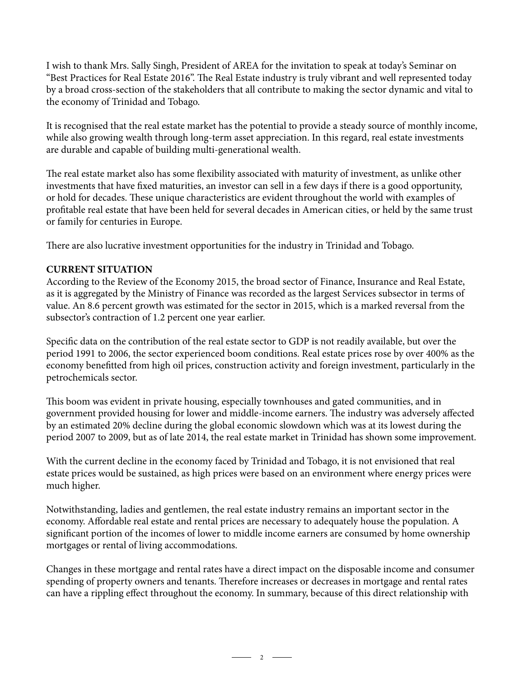I wish to thank Mrs. Sally Singh, President of AREA for the invitation to speak at today's Seminar on "Best Practices for Real Estate 2016". The Real Estate industry is truly vibrant and well represented today by a broad cross-section of the stakeholders that all contribute to making the sector dynamic and vital to the economy of Trinidad and Tobago.

It is recognised that the real estate market has the potential to provide a steady source of monthly income, while also growing wealth through long-term asset appreciation. In this regard, real estate investments are durable and capable of building multi-generational wealth.

The real estate market also has some flexibility associated with maturity of investment, as unlike other investments that have fixed maturities, an investor can sell in a few days if there is a good opportunity, or hold for decades. These unique characteristics are evident throughout the world with examples of profitable real estate that have been held for several decades in American cities, or held by the same trust or family for centuries in Europe.

There are also lucrative investment opportunities for the industry in Trinidad and Tobago.

#### **CURRENT SITUATION**

According to the Review of the Economy 2015, the broad sector of Finance, Insurance and Real Estate, as it is aggregated by the Ministry of Finance was recorded as the largest Services subsector in terms of value. An 8.6 percent growth was estimated for the sector in 2015, which is a marked reversal from the subsector's contraction of 1.2 percent one year earlier.

Specific data on the contribution of the real estate sector to GDP is not readily available, but over the period 1991 to 2006, the sector experienced boom conditions. Real estate prices rose by over 400% as the economy benefitted from high oil prices, construction activity and foreign investment, particularly in the petrochemicals sector.

This boom was evident in private housing, especially townhouses and gated communities, and in government provided housing for lower and middle-income earners. The industry was adversely affected by an estimated 20% decline during the global economic slowdown which was at its lowest during the period 2007 to 2009, but as of late 2014, the real estate market in Trinidad has shown some improvement.

With the current decline in the economy faced by Trinidad and Tobago, it is not envisioned that real estate prices would be sustained, as high prices were based on an environment where energy prices were much higher.

Notwithstanding, ladies and gentlemen, the real estate industry remains an important sector in the economy. Affordable real estate and rental prices are necessary to adequately house the population. A significant portion of the incomes of lower to middle income earners are consumed by home ownership mortgages or rental of living accommodations.

Changes in these mortgage and rental rates have a direct impact on the disposable income and consumer spending of property owners and tenants. Therefore increases or decreases in mortgage and rental rates can have a rippling effect throughout the economy. In summary, because of this direct relationship with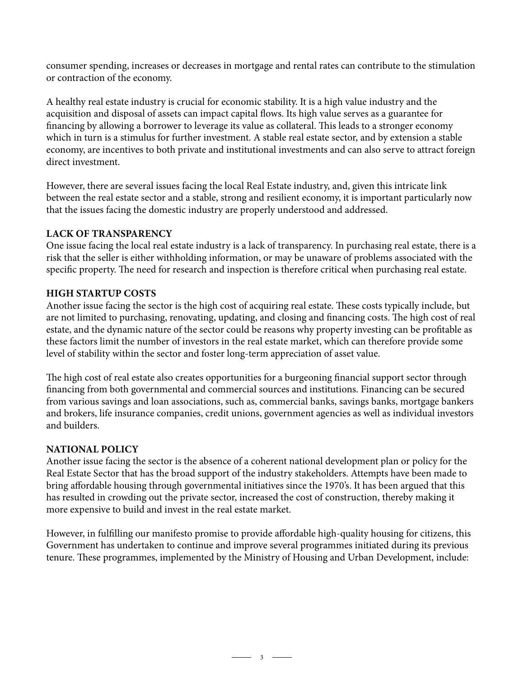consumer spending, increases or decreases in mortgage and rental rates can contribute to the stimulation or contraction of the economy.

A healthy real estate industry is crucial for economic stability. It is a high value industry and the acquisition and disposal of assets can impact capital flows. Its high value serves as a guarantee for financing by allowing a borrower to leverage its value as collateral. This leads to a stronger economy which in turn is a stimulus for further investment. A stable real estate sector, and by extension a stable economy, are incentives to both private and institutional investments and can also serve to attract foreign direct investment.

However, there are several issues facing the local Real Estate industry, and, given this intricate link between the real estate sector and a stable, strong and resilient economy, it is important particularly now that the issues facing the domestic industry are properly understood and addressed.

#### **LACK OF TRANSPARENCY**

One issue facing the local real estate industry is a lack of transparency. In purchasing real estate, there is a risk that the seller is either withholding information, or may be unaware of problems associated with the specific property. The need for research and inspection is therefore critical when purchasing real estate.

#### **HIGH STARTUP COSTS**

Another issue facing the sector is the high cost of acquiring real estate. These costs typically include, but are not limited to purchasing, renovating, updating, and closing and financing costs. The high cost of real estate, and the dynamic nature of the sector could be reasons why property investing can be profitable as these factors limit the number of investors in the real estate market, which can therefore provide some level of stability within the sector and foster long-term appreciation of asset value.

The high cost of real estate also creates opportunities for a burgeoning financial support sector through financing from both governmental and commercial sources and institutions. Financing can be secured from various savings and loan associations, such as, commercial banks, savings banks, mortgage bankers and brokers, life insurance companies, credit unions, government agencies as well as individual investors and builders.

#### **NATIONAL POLICY**

Another issue facing the sector is the absence of a coherent national development plan or policy for the Real Estate Sector that has the broad support of the industry stakeholders. Attempts have been made to bring affordable housing through governmental initiatives since the 1970's. It has been argued that this has resulted in crowding out the private sector, increased the cost of construction, thereby making it more expensive to build and invest in the real estate market.

However, in fulfilling our manifesto promise to provide affordable high-quality housing for citizens, this Government has undertaken to continue and improve several programmes initiated during its previous tenure. These programmes, implemented by the Ministry of Housing and Urban Development, include: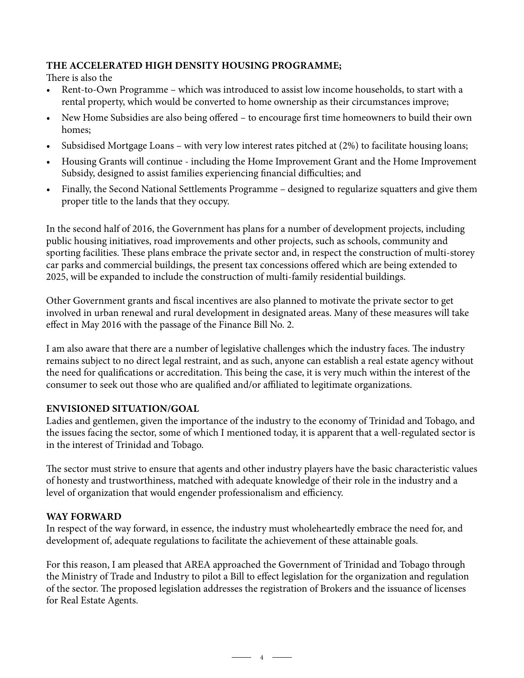#### **THE ACCELERATED HIGH DENSITY HOUSING PROGRAMME;**

There is also the

- Rent-to-Own Programme which was introduced to assist low income households, to start with a rental property, which would be converted to home ownership as their circumstances improve;
- New Home Subsidies are also being offered to encourage first time homeowners to build their own homes;
- Subsidised Mortgage Loans with very low interest rates pitched at (2%) to facilitate housing loans;
- Housing Grants will continue including the Home Improvement Grant and the Home Improvement Subsidy, designed to assist families experiencing financial difficulties; and
- Finally, the Second National Settlements Programme designed to regularize squatters and give them proper title to the lands that they occupy.

In the second half of 2016, the Government has plans for a number of development projects, including public housing initiatives, road improvements and other projects, such as schools, community and sporting facilities. These plans embrace the private sector and, in respect the construction of multi-storey car parks and commercial buildings, the present tax concessions offered which are being extended to 2025, will be expanded to include the construction of multi-family residential buildings.

Other Government grants and fiscal incentives are also planned to motivate the private sector to get involved in urban renewal and rural development in designated areas. Many of these measures will take effect in May 2016 with the passage of the Finance Bill No. 2.

I am also aware that there are a number of legislative challenges which the industry faces. The industry remains subject to no direct legal restraint, and as such, anyone can establish a real estate agency without the need for qualifications or accreditation. This being the case, it is very much within the interest of the consumer to seek out those who are qualified and/or affiliated to legitimate organizations.

#### **ENVISIONED SITUATION/GOAL**

Ladies and gentlemen, given the importance of the industry to the economy of Trinidad and Tobago, and the issues facing the sector, some of which I mentioned today, it is apparent that a well-regulated sector is in the interest of Trinidad and Tobago.

The sector must strive to ensure that agents and other industry players have the basic characteristic values of honesty and trustworthiness, matched with adequate knowledge of their role in the industry and a level of organization that would engender professionalism and efficiency.

#### **WAY FORWARD**

In respect of the way forward, in essence, the industry must wholeheartedly embrace the need for, and development of, adequate regulations to facilitate the achievement of these attainable goals.

For this reason, I am pleased that AREA approached the Government of Trinidad and Tobago through the Ministry of Trade and Industry to pilot a Bill to effect legislation for the organization and regulation of the sector. The proposed legislation addresses the registration of Brokers and the issuance of licenses for Real Estate Agents.

 $-$  4  $-$